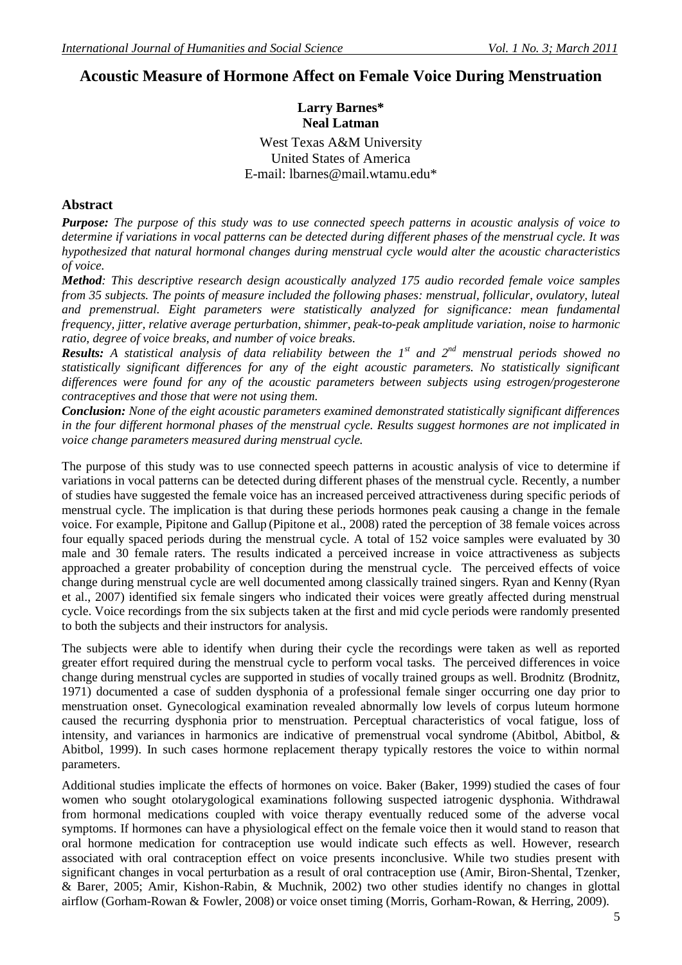# **Acoustic Measure of Hormone Affect on Female Voice During Menstruation**

## **Larry Barnes\* Neal Latman**

West Texas A&M University United States of America E-mail: lbarnes@mail.wtamu.edu\*

#### **Abstract**

*Purpose: The purpose of this study was to use connected speech patterns in acoustic analysis of voice to determine if variations in vocal patterns can be detected during different phases of the menstrual cycle. It was hypothesized that natural hormonal changes during menstrual cycle would alter the acoustic characteristics of voice.* 

*Method: This descriptive research design acoustically analyzed 175 audio recorded female voice samples from 35 subjects. The points of measure included the following phases: menstrual, follicular, ovulatory, luteal and premenstrual. Eight parameters were statistically analyzed for significance: mean fundamental frequency, jitter, relative average perturbation, shimmer, peak-to-peak amplitude variation, noise to harmonic ratio, degree of voice breaks, and number of voice breaks.* 

*Results: A statistical analysis of data reliability between the 1st and 2nd menstrual periods showed no statistically significant differences for any of the eight acoustic parameters. No statistically significant differences were found for any of the acoustic parameters between subjects using estrogen/progesterone contraceptives and those that were not using them.* 

*Conclusion: None of the eight acoustic parameters examined demonstrated statistically significant differences in the four different hormonal phases of the menstrual cycle. Results suggest hormones are not implicated in voice change parameters measured during menstrual cycle.*

The purpose of this study was to use connected speech patterns in acoustic analysis of vice to determine if variations in vocal patterns can be detected during different phases of the menstrual cycle. Recently, a number of studies have suggested the female voice has an increased perceived attractiveness during specific periods of menstrual cycle. The implication is that during these periods hormones peak causing a change in the female voice. For example, Pipitone and Gallup (Pipitone et al., 2008) rated the perception of 38 female voices across four equally spaced periods during the menstrual cycle. A total of 152 voice samples were evaluated by 30 male and 30 female raters. The results indicated a perceived increase in voice attractiveness as subjects approached a greater probability of conception during the menstrual cycle. The perceived effects of voice change during menstrual cycle are well documented among classically trained singers. Ryan and Kenny (Ryan et al., 2007) identified six female singers who indicated their voices were greatly affected during menstrual cycle. Voice recordings from the six subjects taken at the first and mid cycle periods were randomly presented to both the subjects and their instructors for analysis.

The subjects were able to identify when during their cycle the recordings were taken as well as reported greater effort required during the menstrual cycle to perform vocal tasks. The perceived differences in voice change during menstrual cycles are supported in studies of vocally trained groups as well. Brodnitz (Brodnitz, 1971) documented a case of sudden dysphonia of a professional female singer occurring one day prior to menstruation onset. Gynecological examination revealed abnormally low levels of corpus luteum hormone caused the recurring dysphonia prior to menstruation. Perceptual characteristics of vocal fatigue, loss of intensity, and variances in harmonics are indicative of premenstrual vocal syndrome (Abitbol, Abitbol, & Abitbol, 1999). In such cases hormone replacement therapy typically restores the voice to within normal parameters.

Additional studies implicate the effects of hormones on voice. Baker (Baker, 1999) studied the cases of four women who sought otolarygological examinations following suspected iatrogenic dysphonia. Withdrawal from hormonal medications coupled with voice therapy eventually reduced some of the adverse vocal symptoms. If hormones can have a physiological effect on the female voice then it would stand to reason that oral hormone medication for contraception use would indicate such effects as well. However, research associated with oral contraception effect on voice presents inconclusive. While two studies present with significant changes in vocal perturbation as a result of oral contraception use (Amir, Biron-Shental, Tzenker, & Barer, 2005; Amir, Kishon-Rabin, & Muchnik, 2002) two other studies identify no changes in glottal airflow (Gorham-Rowan & Fowler, 2008) or voice onset timing (Morris, Gorham-Rowan, & Herring, 2009).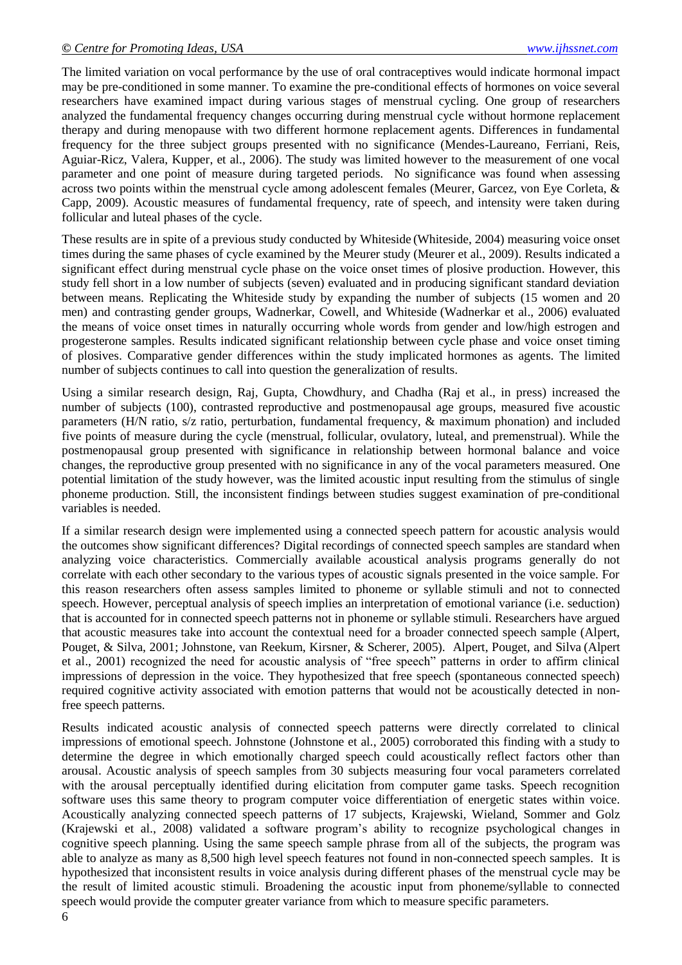The limited variation on vocal performance by the use of oral contraceptives would indicate hormonal impact may be pre-conditioned in some manner. To examine the pre-conditional effects of hormones on voice several researchers have examined impact during various stages of menstrual cycling. One group of researchers analyzed the fundamental frequency changes occurring during menstrual cycle without hormone replacement therapy and during menopause with two different hormone replacement agents. Differences in fundamental frequency for the three subject groups presented with no significance (Mendes-Laureano, Ferriani, Reis, Aguiar-Ricz, Valera, Kupper, et al., 2006). The study was limited however to the measurement of one vocal parameter and one point of measure during targeted periods. No significance was found when assessing across two points within the menstrual cycle among adolescent females (Meurer, Garcez, von Eye Corleta, & Capp, 2009). Acoustic measures of fundamental frequency, rate of speech, and intensity were taken during follicular and luteal phases of the cycle.

These results are in spite of a previous study conducted by Whiteside (Whiteside, 2004) measuring voice onset times during the same phases of cycle examined by the Meurer study (Meurer et al., 2009). Results indicated a significant effect during menstrual cycle phase on the voice onset times of plosive production. However, this study fell short in a low number of subjects (seven) evaluated and in producing significant standard deviation between means. Replicating the Whiteside study by expanding the number of subjects (15 women and 20 men) and contrasting gender groups, Wadnerkar, Cowell, and Whiteside (Wadnerkar et al., 2006) evaluated the means of voice onset times in naturally occurring whole words from gender and low/high estrogen and progesterone samples. Results indicated significant relationship between cycle phase and voice onset timing of plosives. Comparative gender differences within the study implicated hormones as agents. The limited number of subjects continues to call into question the generalization of results.

Using a similar research design, Raj, Gupta, Chowdhury, and Chadha (Raj et al., in press) increased the number of subjects (100), contrasted reproductive and postmenopausal age groups, measured five acoustic parameters (H/N ratio, s/z ratio, perturbation, fundamental frequency, & maximum phonation) and included five points of measure during the cycle (menstrual, follicular, ovulatory, luteal, and premenstrual). While the postmenopausal group presented with significance in relationship between hormonal balance and voice changes, the reproductive group presented with no significance in any of the vocal parameters measured. One potential limitation of the study however, was the limited acoustic input resulting from the stimulus of single phoneme production. Still, the inconsistent findings between studies suggest examination of pre-conditional variables is needed.

If a similar research design were implemented using a connected speech pattern for acoustic analysis would the outcomes show significant differences? Digital recordings of connected speech samples are standard when analyzing voice characteristics. Commercially available acoustical analysis programs generally do not correlate with each other secondary to the various types of acoustic signals presented in the voice sample. For this reason researchers often assess samples limited to phoneme or syllable stimuli and not to connected speech. However, perceptual analysis of speech implies an interpretation of emotional variance (i.e. seduction) that is accounted for in connected speech patterns not in phoneme or syllable stimuli. Researchers have argued that acoustic measures take into account the contextual need for a broader connected speech sample (Alpert, Pouget, & Silva, 2001; Johnstone, van Reekum, Kirsner, & Scherer, 2005). Alpert, Pouget, and Silva (Alpert et al., 2001) recognized the need for acoustic analysis of "free speech" patterns in order to affirm clinical impressions of depression in the voice. They hypothesized that free speech (spontaneous connected speech) required cognitive activity associated with emotion patterns that would not be acoustically detected in nonfree speech patterns.

Results indicated acoustic analysis of connected speech patterns were directly correlated to clinical impressions of emotional speech. Johnstone (Johnstone et al., 2005) corroborated this finding with a study to determine the degree in which emotionally charged speech could acoustically reflect factors other than arousal. Acoustic analysis of speech samples from 30 subjects measuring four vocal parameters correlated with the arousal perceptually identified during elicitation from computer game tasks. Speech recognition software uses this same theory to program computer voice differentiation of energetic states within voice. Acoustically analyzing connected speech patterns of 17 subjects, Krajewski, Wieland, Sommer and Golz (Krajewski et al., 2008) validated a software program's ability to recognize psychological changes in cognitive speech planning. Using the same speech sample phrase from all of the subjects, the program was able to analyze as many as 8,500 high level speech features not found in non-connected speech samples. It is hypothesized that inconsistent results in voice analysis during different phases of the menstrual cycle may be the result of limited acoustic stimuli. Broadening the acoustic input from phoneme/syllable to connected speech would provide the computer greater variance from which to measure specific parameters.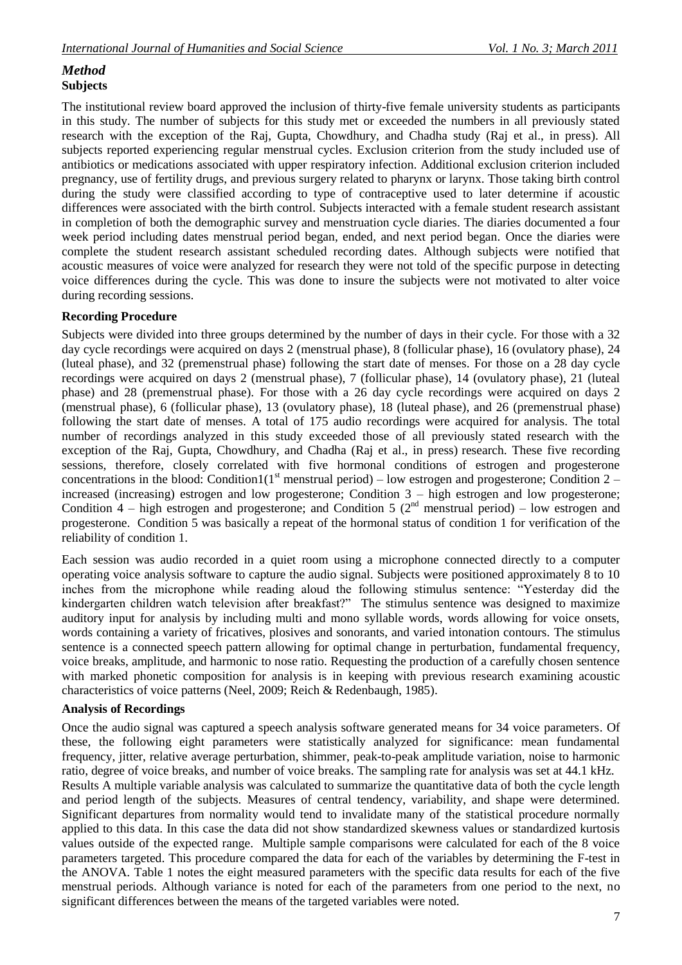### *Method* **Subjects**

The institutional review board approved the inclusion of thirty-five female university students as participants in this study. The number of subjects for this study met or exceeded the numbers in all previously stated research with the exception of the Raj, Gupta, Chowdhury, and Chadha study (Raj et al., in press). All subjects reported experiencing regular menstrual cycles. Exclusion criterion from the study included use of antibiotics or medications associated with upper respiratory infection. Additional exclusion criterion included pregnancy, use of fertility drugs, and previous surgery related to pharynx or larynx. Those taking birth control during the study were classified according to type of contraceptive used to later determine if acoustic differences were associated with the birth control. Subjects interacted with a female student research assistant in completion of both the demographic survey and menstruation cycle diaries. The diaries documented a four week period including dates menstrual period began, ended, and next period began. Once the diaries were complete the student research assistant scheduled recording dates. Although subjects were notified that acoustic measures of voice were analyzed for research they were not told of the specific purpose in detecting voice differences during the cycle. This was done to insure the subjects were not motivated to alter voice during recording sessions.

#### **Recording Procedure**

Subjects were divided into three groups determined by the number of days in their cycle. For those with a 32 day cycle recordings were acquired on days 2 (menstrual phase), 8 (follicular phase), 16 (ovulatory phase), 24 (luteal phase), and 32 (premenstrual phase) following the start date of menses. For those on a 28 day cycle recordings were acquired on days 2 (menstrual phase), 7 (follicular phase), 14 (ovulatory phase), 21 (luteal phase) and 28 (premenstrual phase). For those with a 26 day cycle recordings were acquired on days 2 (menstrual phase), 6 (follicular phase), 13 (ovulatory phase), 18 (luteal phase), and 26 (premenstrual phase) following the start date of menses. A total of 175 audio recordings were acquired for analysis. The total number of recordings analyzed in this study exceeded those of all previously stated research with the exception of the Raj, Gupta, Chowdhury, and Chadha (Raj et al., in press) research. These five recording sessions, therefore, closely correlated with five hormonal conditions of estrogen and progesterone concentrations in the blood: Condition1( $1<sup>st</sup>$  menstrual period) – low estrogen and progesterone; Condition 2 – increased (increasing) estrogen and low progesterone; Condition 3 – high estrogen and low progesterone; Condition  $4$  – high estrogen and progesterone; and Condition 5 ( $2<sup>nd</sup>$  menstrual period) – low estrogen and progesterone. Condition 5 was basically a repeat of the hormonal status of condition 1 for verification of the reliability of condition 1.

Each session was audio recorded in a quiet room using a microphone connected directly to a computer operating voice analysis software to capture the audio signal. Subjects were positioned approximately 8 to 10 inches from the microphone while reading aloud the following stimulus sentence: "Yesterday did the kindergarten children watch television after breakfast?" The stimulus sentence was designed to maximize auditory input for analysis by including multi and mono syllable words, words allowing for voice onsets, words containing a variety of fricatives, plosives and sonorants, and varied intonation contours. The stimulus sentence is a connected speech pattern allowing for optimal change in perturbation, fundamental frequency, voice breaks, amplitude, and harmonic to nose ratio. Requesting the production of a carefully chosen sentence with marked phonetic composition for analysis is in keeping with previous research examining acoustic characteristics of voice patterns (Neel, 2009; Reich & Redenbaugh, 1985).

#### **Analysis of Recordings**

Once the audio signal was captured a speech analysis software generated means for 34 voice parameters. Of these, the following eight parameters were statistically analyzed for significance: mean fundamental frequency, jitter, relative average perturbation, shimmer, peak-to-peak amplitude variation, noise to harmonic ratio, degree of voice breaks, and number of voice breaks. The sampling rate for analysis was set at 44.1 kHz. Results A multiple variable analysis was calculated to summarize the quantitative data of both the cycle length and period length of the subjects. Measures of central tendency, variability, and shape were determined. Significant departures from normality would tend to invalidate many of the statistical procedure normally applied to this data. In this case the data did not show standardized skewness values or standardized kurtosis values outside of the expected range. Multiple sample comparisons were calculated for each of the 8 voice parameters targeted. This procedure compared the data for each of the variables by determining the F-test in the ANOVA. Table 1 notes the eight measured parameters with the specific data results for each of the five menstrual periods. Although variance is noted for each of the parameters from one period to the next, no significant differences between the means of the targeted variables were noted.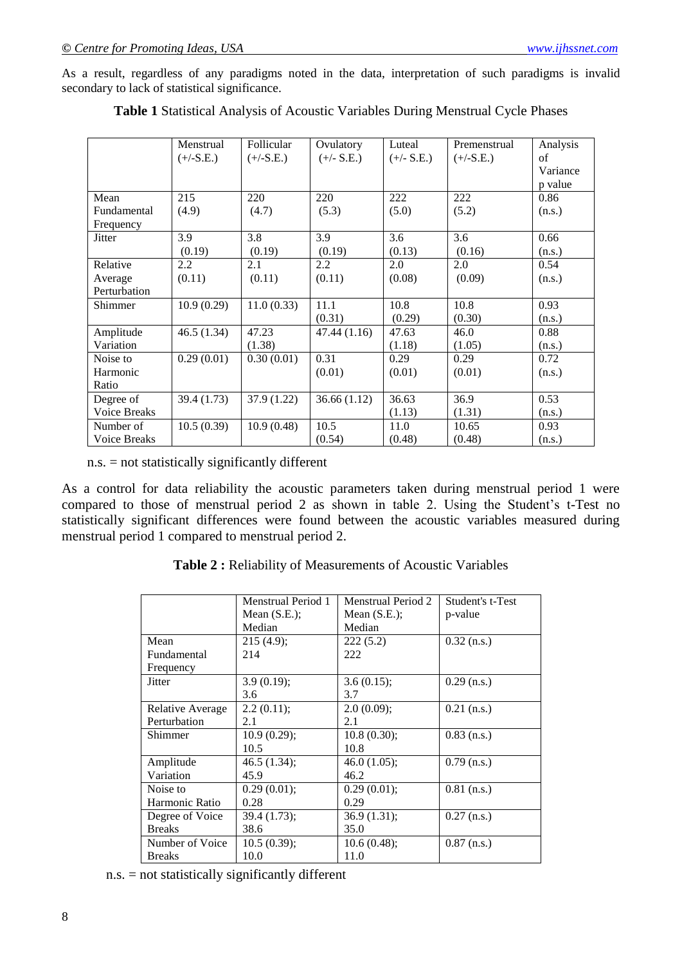As a result, regardless of any paradigms noted in the data, interpretation of such paradigms is invalid secondary to lack of statistical significance.

|                     | Menstrual<br>$(+/-S.E.)$ | Follicular<br>$(+/-S.E.)$ | Ovulatory<br>$(+/- S.E.)$ | Luteal<br>$(+/- S.E.)$ | Premenstrual<br>$(+/-S.E.)$ | Analysis<br>of      |
|---------------------|--------------------------|---------------------------|---------------------------|------------------------|-----------------------------|---------------------|
|                     |                          |                           |                           |                        |                             | Variance<br>p value |
| Mean                | 215                      | 220                       | 220                       | 222                    | 222                         | 0.86                |
| Fundamental         | (4.9)                    | (4.7)                     | (5.3)                     | (5.0)                  | (5.2)                       | (n.s.)              |
| Frequency           |                          |                           |                           |                        |                             |                     |
| <b>Jitter</b>       | 3.9                      | 3.8                       | 3.9                       | 3.6                    | 3.6                         | 0.66                |
|                     | (0.19)                   | (0.19)                    | (0.19)                    | (0.13)                 | (0.16)                      | (n.s.)              |
| Relative            | 2.2                      | 2.1                       | $2.2^{\circ}$             | 2.0                    | 2.0                         | 0.54                |
| Average             | (0.11)                   | (0.11)                    | (0.11)                    | (0.08)                 | (0.09)                      | (n.s.)              |
| Perturbation        |                          |                           |                           |                        |                             |                     |
| Shimmer             | 10.9(0.29)               | 11.0(0.33)                | 11.1                      | 10.8                   | 10.8                        | 0.93                |
|                     |                          |                           | (0.31)                    | (0.29)                 | (0.30)                      | (n.s.)              |
| Amplitude           | 46.5 (1.34)              | 47.23                     | 47.44(1.16)               | 47.63                  | 46.0                        | 0.88                |
| Variation           |                          | (1.38)                    |                           | (1.18)                 | (1.05)                      | (n.s.)              |
| Noise to            | 0.29(0.01)               | 0.30(0.01)                | 0.31                      | 0.29                   | 0.29                        | 0.72                |
| Harmonic            |                          |                           | (0.01)                    | (0.01)                 | (0.01)                      | (n.s.)              |
| Ratio               |                          |                           |                           |                        |                             |                     |
| Degree of           | 39.4 (1.73)              | 37.9(1.22)                | 36.66(1.12)               | 36.63                  | 36.9                        | 0.53                |
| <b>Voice Breaks</b> |                          |                           |                           | (1.13)                 | (1.31)                      | (n.s.)              |
| Number of           | 10.5(0.39)               | 10.9(0.48)                | 10.5                      | 11.0                   | 10.65                       | 0.93                |
| Voice Breaks        |                          |                           | (0.54)                    | (0.48)                 | (0.48)                      | (n.s.)              |

**Table 1** Statistical Analysis of Acoustic Variables During Menstrual Cycle Phases

n.s. = not statistically significantly different

As a control for data reliability the acoustic parameters taken during menstrual period 1 were compared to those of menstrual period 2 as shown in table 2. Using the Student's t-Test no statistically significant differences were found between the acoustic variables measured during menstrual period 1 compared to menstrual period 2.

**Table 2 :** Reliability of Measurements of Acoustic Variables

|                  | Menstrual Period 1 | <b>Menstrual Period 2</b> | Student's t-Test |
|------------------|--------------------|---------------------------|------------------|
|                  | Mean $(S.E.);$     | Mean $(S.E.);$            | p-value          |
|                  | Median             | Median                    |                  |
| Mean             | 215(4.9);          | 222(5.2)                  | $0.32$ (n.s.)    |
| Fundamental      | 214                | 222                       |                  |
| Frequency        |                    |                           |                  |
| <b>Jitter</b>    | 3.9(0.19);         | 3.6(0.15);                | $0.29$ (n.s.)    |
|                  | 3.6                | 3.7                       |                  |
| Relative Average | 2.2(0.11);         | 2.0(0.09);                | $0.21$ (n.s.)    |
| Perturbation     | 2.1                | 2.1                       |                  |
| Shimmer          | 10.9(0.29);        | 10.8(0.30);               | $0.83$ (n.s.)    |
|                  | 10.5               | 10.8                      |                  |
| Amplitude        | 46.5(1.34);        | 46.0(1.05);               | $0.79$ (n.s.)    |
| Variation        | 45.9               | 46.2                      |                  |
| Noise to         | 0.29(0.01);        | $0.29(0.01)$ ;            | $0.81$ (n.s.)    |
| Harmonic Ratio   | 0.28               | 0.29                      |                  |
| Degree of Voice  | 39.4 (1.73);       | 36.9(1.31);               | $0.27$ (n.s.)    |
| <b>Breaks</b>    | 38.6               | 35.0                      |                  |
| Number of Voice  | 10.5(0.39);        | 10.6(0.48);               | $0.87$ (n.s.)    |
| <b>Breaks</b>    | 10.0               | 11.0                      |                  |

n.s. = not statistically significantly different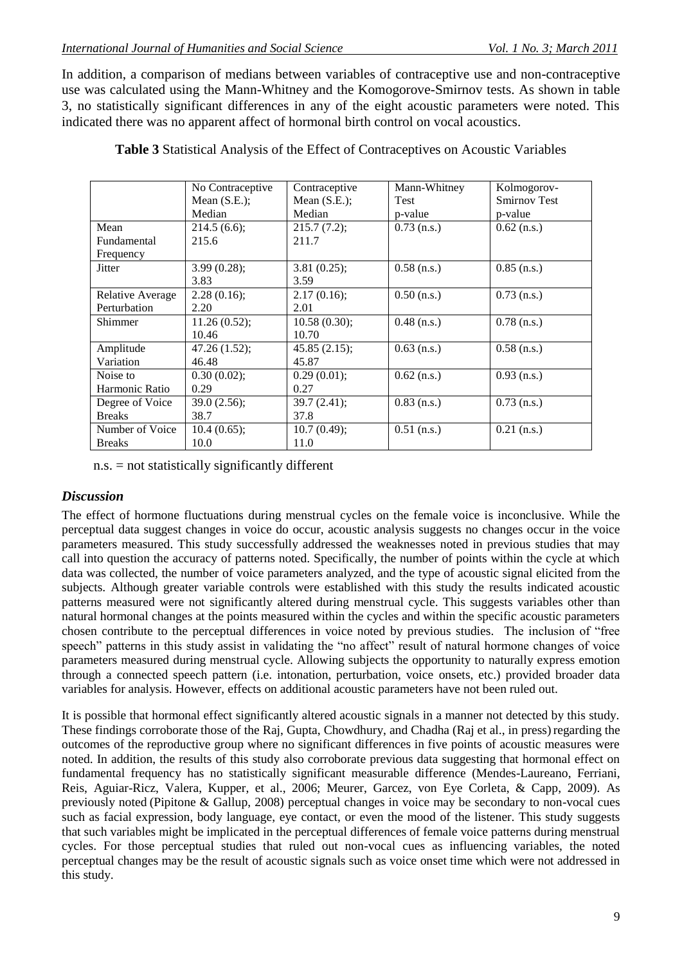In addition, a comparison of medians between variables of contraceptive use and non-contraceptive use was calculated using the Mann-Whitney and the Komogorove-Smirnov tests. As shown in table 3, no statistically significant differences in any of the eight acoustic parameters were noted. This indicated there was no apparent affect of hormonal birth control on vocal acoustics.

|                  | No Contraceptive | Contraceptive  | Mann-Whitney  | Kolmogorov-         |
|------------------|------------------|----------------|---------------|---------------------|
|                  | Mean $(S.E.);$   | Mean $(S.E.);$ | <b>Test</b>   | <b>Smirnov Test</b> |
|                  | Median           | Median         | p-value       | p-value             |
| Mean             | 214.5(6.6);      | 215.7(7.2);    | $0.73$ (n.s.) | $0.62$ (n.s.)       |
| Fundamental      | 215.6            | 211.7          |               |                     |
| Frequency        |                  |                |               |                     |
| Jitter           | 3.99(0.28);      | 3.81(0.25);    | $0.58$ (n.s.) | $0.85$ (n.s.)       |
|                  | 3.83             | 3.59           |               |                     |
| Relative Average | 2.28(0.16);      | 2.17(0.16);    | $0.50$ (n.s.) | $0.73$ (n.s.)       |
| Perturbation     | 2.20             | 2.01           |               |                     |
| Shimmer          | 11.26(0.52);     | 10.58(0.30);   | $0.48$ (n.s.) | $0.78$ (n.s.)       |
|                  | 10.46            | 10.70          |               |                     |
| Amplitude        | 47.26(1.52);     | 45.85(2.15);   | $0.63$ (n.s.) | $0.58$ (n.s.)       |
| Variation        | 46.48            | 45.87          |               |                     |
| Noise to         | 0.30(0.02);      | 0.29(0.01);    | $0.62$ (n.s.) | $0.93$ (n.s.)       |
| Harmonic Ratio   | 0.29             | 0.27           |               |                     |
| Degree of Voice  | 39.0(2.56);      | 39.7(2.41);    | $0.83$ (n.s.) | $0.73$ (n.s.)       |
| <b>Breaks</b>    | 38.7             | 37.8           |               |                     |
| Number of Voice  | 10.4(0.65);      | 10.7(0.49);    | $0.51$ (n.s.) | $0.21$ (n.s.)       |
| <b>Breaks</b>    | 10.0             | 11.0           |               |                     |

**Table 3** Statistical Analysis of the Effect of Contraceptives on Acoustic Variables

n.s. = not statistically significantly different

### *Discussion*

The effect of hormone fluctuations during menstrual cycles on the female voice is inconclusive. While the perceptual data suggest changes in voice do occur, acoustic analysis suggests no changes occur in the voice parameters measured. This study successfully addressed the weaknesses noted in previous studies that may call into question the accuracy of patterns noted. Specifically, the number of points within the cycle at which data was collected, the number of voice parameters analyzed, and the type of acoustic signal elicited from the subjects. Although greater variable controls were established with this study the results indicated acoustic patterns measured were not significantly altered during menstrual cycle. This suggests variables other than natural hormonal changes at the points measured within the cycles and within the specific acoustic parameters chosen contribute to the perceptual differences in voice noted by previous studies. The inclusion of "free speech" patterns in this study assist in validating the "no affect" result of natural hormone changes of voice parameters measured during menstrual cycle. Allowing subjects the opportunity to naturally express emotion through a connected speech pattern (i.e. intonation, perturbation, voice onsets, etc.) provided broader data variables for analysis. However, effects on additional acoustic parameters have not been ruled out.

It is possible that hormonal effect significantly altered acoustic signals in a manner not detected by this study. These findings corroborate those of the Raj, Gupta, Chowdhury, and Chadha (Raj et al., in press) regarding the outcomes of the reproductive group where no significant differences in five points of acoustic measures were noted. In addition, the results of this study also corroborate previous data suggesting that hormonal effect on fundamental frequency has no statistically significant measurable difference (Mendes-Laureano, Ferriani, Reis, Aguiar-Ricz, Valera, Kupper, et al., 2006; Meurer, Garcez, von Eye Corleta, & Capp, 2009). As previously noted (Pipitone & Gallup, 2008) perceptual changes in voice may be secondary to non-vocal cues such as facial expression, body language, eye contact, or even the mood of the listener. This study suggests that such variables might be implicated in the perceptual differences of female voice patterns during menstrual cycles. For those perceptual studies that ruled out non-vocal cues as influencing variables, the noted perceptual changes may be the result of acoustic signals such as voice onset time which were not addressed in this study.